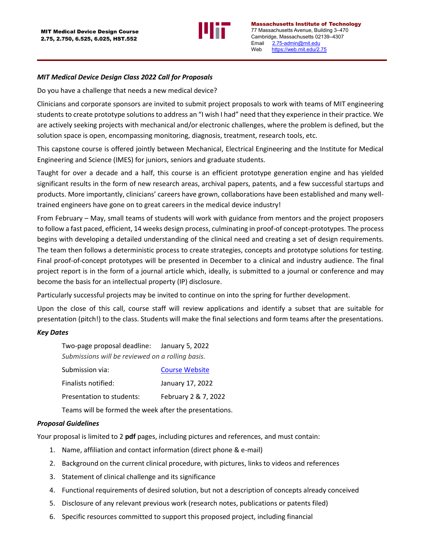

Massachusetts Institute of Technology 77 Massachusetts Avenue, Building 3–470 Cambridge, Massachusetts 02139–4307 Email [2.75-admin@mit.edu](mailto:2.75-admin@mit.edu) Web [https://web.mit.edu/2.75](https://web.mit.edu/2.75/)

## *MIT Medical Device Design Class 2022 Call for Proposals*

Do you have a challenge that needs a new medical device?

Clinicians and corporate sponsors are invited to submit project proposals to work with teams of MIT engineering students to create prototype solutions to address an "I wish I had" need that they experience in their practice. We are actively seeking projects with mechanical and/or electronic challenges, where the problem is defined, but the solution space is open, encompassing monitoring, diagnosis, treatment, research tools, etc.

This capstone course is offered jointly between Mechanical, Electrical Engineering and the Institute for Medical Engineering and Science (IMES) for juniors, seniors and graduate students.

Taught for over a decade and a half, this course is an efficient prototype generation engine and has yielded significant results in the form of new research areas, archival papers, patents, and a few successful startups and products. More importantly, clinicians' careers have grown, collaborations have been established and many welltrained engineers have gone on to great careers in the medical device industry!

From February – May, small teams of students will work with guidance from mentors and the project proposers to follow a fast paced, efficient, 14 weeks design process, culminating in proof-of concept-prototypes. The process begins with developing a detailed understanding of the clinical need and creating a set of design requirements. The team then follows a deterministic process to create strategies, concepts and prototype solutions for testing. Final proof-of-concept prototypes will be presented in December to a clinical and industry audience. The final project report is in the form of a journal article which, ideally, is submitted to a journal or conference and may become the basis for an intellectual property (IP) disclosure.

Particularly successful projects may be invited to continue on into the spring for further development.

Upon the close of this call, course staff will review applications and identify a subset that are suitable for presentation (pitch!) to the class. Students will make the final selections and form teams after the presentations.

#### *Key Dates*

| Two-page proposal deadline: January 5, 2022      |                       |  |
|--------------------------------------------------|-----------------------|--|
| Submissions will be reviewed on a rolling basis. |                       |  |
| Submission via:                                  | <b>Course Website</b> |  |
| Finalists notified:                              | January 17, 2022      |  |

|                           | $30110017 - 176000$  |
|---------------------------|----------------------|
| Presentation to students: | February 2 & 7, 2022 |

Teams will be formed the week after the presentations.

### *Proposal Guidelines*

Your proposal is limited to 2 **pdf** pages, including pictures and references, and must contain:

- 1. Name, affiliation and contact information (direct phone & e-mail)
- 2. Background on the current clinical procedure, with pictures, links to videos and references
- 3. Statement of clinical challenge and its significance
- 4. Functional requirements of desired solution, but not a description of concepts already conceived
- 5. Disclosure of any relevant previous work (research notes, publications or patents filed)
- 6. Specific resources committed to support this proposed project, including financial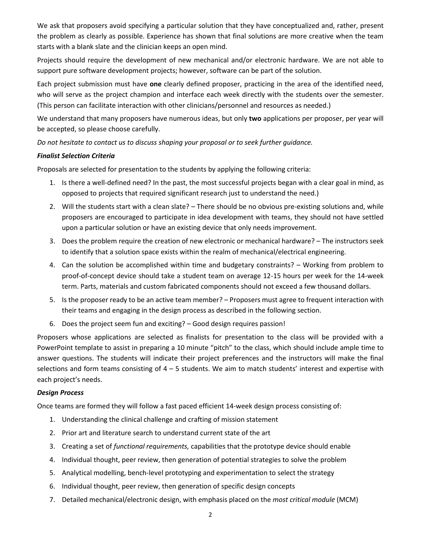We ask that proposers avoid specifying a particular solution that they have conceptualized and, rather, present the problem as clearly as possible. Experience has shown that final solutions are more creative when the team starts with a blank slate and the clinician keeps an open mind.

Projects should require the development of new mechanical and/or electronic hardware. We are not able to support pure software development projects; however, software can be part of the solution.

Each project submission must have **one** clearly defined proposer, practicing in the area of the identified need, who will serve as the project champion and interface each week directly with the students over the semester. (This person can facilitate interaction with other clinicians/personnel and resources as needed.)

We understand that many proposers have numerous ideas, but only **two** applications per proposer, per year will be accepted, so please choose carefully.

*Do not hesitate to contact us to discuss shaping your proposal or to seek further guidance.*

# *Finalist Selection Criteria*

Proposals are selected for presentation to the students by applying the following criteria:

- 1. Is there a well-defined need? In the past, the most successful projects began with a clear goal in mind, as opposed to projects that required significant research just to understand the need.)
- 2. Will the students start with a clean slate? There should be no obvious pre-existing solutions and, while proposers are encouraged to participate in idea development with teams, they should not have settled upon a particular solution or have an existing device that only needs improvement.
- 3. Does the problem require the creation of new electronic or mechanical hardware? The instructors seek to identify that a solution space exists within the realm of mechanical/electrical engineering.
- 4. Can the solution be accomplished within time and budgetary constraints? Working from problem to proof-of-concept device should take a student team on average 12-15 hours per week for the 14-week term. Parts, materials and custom fabricated components should not exceed a few thousand dollars.
- 5. Is the proposer ready to be an active team member? Proposers must agree to frequent interaction with their teams and engaging in the design process as described in the following section.
- 6. Does the project seem fun and exciting? Good design requires passion!

Proposers whose applications are selected as finalists for presentation to the class will be provided with a PowerPoint template to assist in preparing a 10 minute "pitch" to the class, which should include ample time to answer questions. The students will indicate their project preferences and the instructors will make the final selections and form teams consisting of 4 – 5 students. We aim to match students' interest and expertise with each project's needs.

### *Design Process*

Once teams are formed they will follow a fast paced efficient 14-week design process consisting of:

- 1. Understanding the clinical challenge and crafting of mission statement
- 2. Prior art and literature search to understand current state of the art
- 3. Creating a set of *functional requirements,* capabilities that the prototype device should enable
- 4. Individual thought, peer review, then generation of potential strategies to solve the problem
- 5. Analytical modelling, bench-level prototyping and experimentation to select the strategy
- 6. Individual thought, peer review, then generation of specific design concepts
- 7. Detailed mechanical/electronic design, with emphasis placed on the *most critical module* (MCM)